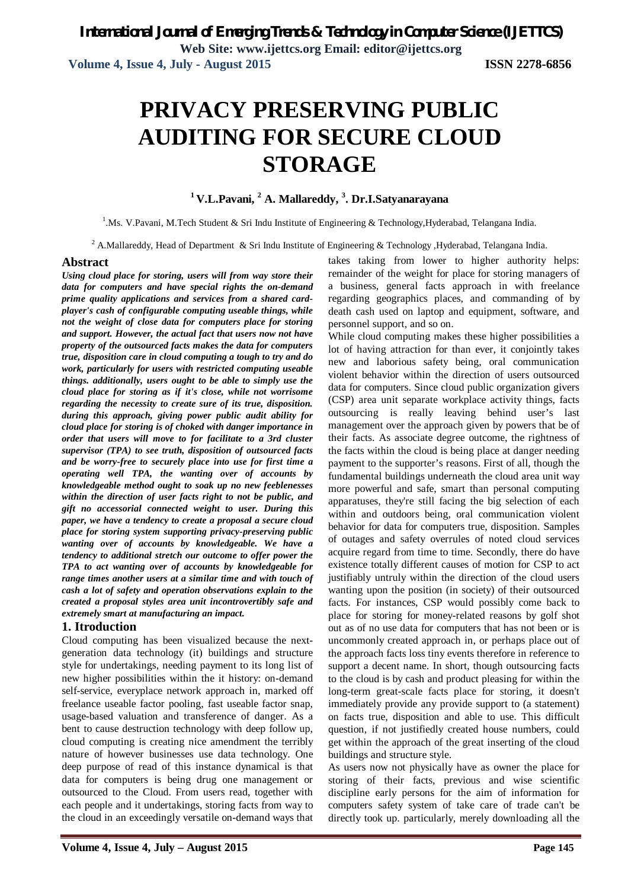**Web Site: www.ijettcs.org Email: editor@ijettcs.org Volume 4, Issue 4, July - August 2015 ISSN 2278-6856**

# **PRIVACY PRESERVING PUBLIC AUDITING FOR SECURE CLOUD STORAGE**

# **<sup>1</sup>V.L.Pavani, <sup>2</sup> A. Mallareddy, 3 . Dr.I.Satyanarayana**

<sup>1</sup>.Ms. V.Pavani, M.Tech Student & Sri Indu Institute of Engineering & Technology, Hyderabad, Telangana India.

<sup>2</sup> A.Mallareddy, Head of Department & Sri Indu Institute of Engineering & Technology ,Hyderabad, Telangana India.

### **Abstract**

*Using cloud place for storing, users will from way store their data for computers and have special rights the on-demand prime quality applications and services from a shared cardplayer's cash of configurable computing useable things, while not the weight of close data for computers place for storing and support. However, the actual fact that users now not have property of the outsourced facts makes the data for computers true, disposition care in cloud computing a tough to try and do work, particularly for users with restricted computing useable things. additionally, users ought to be able to simply use the cloud place for storing as if it's close, while not worrisome regarding the necessity to create sure of its true, disposition. during this approach, giving power public audit ability for cloud place for storing is of choked with danger importance in order that users will move to for facilitate to a 3rd cluster supervisor (TPA) to see truth, disposition of outsourced facts and be worry-free to securely place into use for first time a operating well TPA, the wanting over of accounts by knowledgeable method ought to soak up no new feeblenesses within the direction of user facts right to not be public, and gift no accessorial connected weight to user. During this paper, we have a tendency to create a proposal a secure cloud place for storing system supporting privacy-preserving public wanting over of accounts by knowledgeable. We have a tendency to additional stretch our outcome to offer power the TPA to act wanting over of accounts by knowledgeable for range times another users at a similar time and with touch of cash a lot of safety and operation observations explain to the created a proposal styles area unit incontrovertibly safe and extremely smart at manufacturing an impact.* 

### **1. Itroduction**

Cloud computing has been visualized because the nextgeneration data technology (it) buildings and structure style for undertakings, needing payment to its long list of new higher possibilities within the it history: on-demand self-service, everyplace network approach in, marked off freelance useable factor pooling, fast useable factor snap, usage-based valuation and transference of danger. As a bent to cause destruction technology with deep follow up, cloud computing is creating nice amendment the terribly nature of however businesses use data technology. One deep purpose of read of this instance dynamical is that data for computers is being drug one management or outsourced to the Cloud. From users read, together with each people and it undertakings, storing facts from way to the cloud in an exceedingly versatile on-demand ways that

takes taking from lower to higher authority helps: remainder of the weight for place for storing managers of a business, general facts approach in with freelance regarding geographics places, and commanding of by death cash used on laptop and equipment, software, and personnel support, and so on.

While cloud computing makes these higher possibilities a lot of having attraction for than ever, it conjointly takes new and laborious safety being, oral communication violent behavior within the direction of users outsourced data for computers. Since cloud public organization givers (CSP) area unit separate workplace activity things, facts outsourcing is really leaving behind user's last management over the approach given by powers that be of their facts. As associate degree outcome, the rightness of the facts within the cloud is being place at danger needing payment to the supporter's reasons. First of all, though the fundamental buildings underneath the cloud area unit way more powerful and safe, smart than personal computing apparatuses, they're still facing the big selection of each within and outdoors being, oral communication violent behavior for data for computers true, disposition. Samples of outages and safety overrules of noted cloud services acquire regard from time to time. Secondly, there do have existence totally different causes of motion for CSP to act justifiably untruly within the direction of the cloud users wanting upon the position (in society) of their outsourced facts. For instances, CSP would possibly come back to place for storing for money-related reasons by golf shot out as of no use data for computers that has not been or is uncommonly created approach in, or perhaps place out of the approach facts loss tiny events therefore in reference to support a decent name. In short, though outsourcing facts to the cloud is by cash and product pleasing for within the long-term great-scale facts place for storing, it doesn't immediately provide any provide support to (a statement) on facts true, disposition and able to use. This difficult question, if not justifiedly created house numbers, could get within the approach of the great inserting of the cloud buildings and structure style.

As users now not physically have as owner the place for storing of their facts, previous and wise scientific discipline early persons for the aim of information for computers safety system of take care of trade can't be directly took up. particularly, merely downloading all the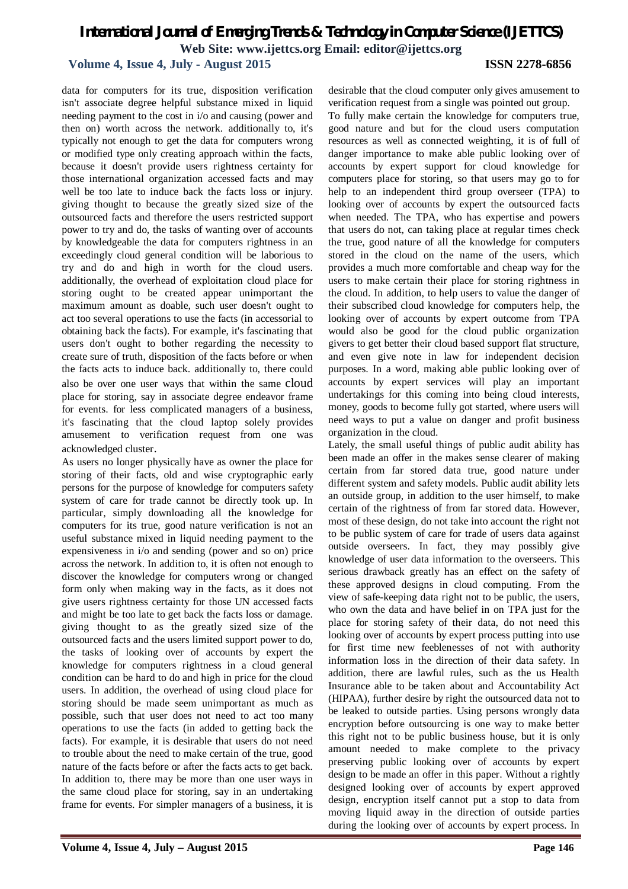# **Volume 4, Issue 4, July - August 2015 ISSN 2278-6856**

data for computers for its true, disposition verification isn't associate degree helpful substance mixed in liquid needing payment to the cost in i/o and causing (power and then on) worth across the network. additionally to, it's typically not enough to get the data for computers wrong or modified type only creating approach within the facts, because it doesn't provide users rightness certainty for those international organization accessed facts and may well be too late to induce back the facts loss or injury. giving thought to because the greatly sized size of the outsourced facts and therefore the users restricted support power to try and do, the tasks of wanting over of accounts by knowledgeable the data for computers rightness in an exceedingly cloud general condition will be laborious to try and do and high in worth for the cloud users. additionally, the overhead of exploitation cloud place for storing ought to be created appear unimportant the maximum amount as doable, such user doesn't ought to act too several operations to use the facts (in accessorial to obtaining back the facts). For example, it's fascinating that users don't ought to bother regarding the necessity to create sure of truth, disposition of the facts before or when the facts acts to induce back. additionally to, there could also be over one user ways that within the same cloud place for storing, say in associate degree endeavor frame for events. for less complicated managers of a business, it's fascinating that the cloud laptop solely provides amusement to verification request from one was acknowledged cluster.

As users no longer physically have as owner the place for storing of their facts, old and wise cryptographic early persons for the purpose of knowledge for computers safety system of care for trade cannot be directly took up. In particular, simply downloading all the knowledge for computers for its true, good nature verification is not an useful substance mixed in liquid needing payment to the expensiveness in i/o and sending (power and so on) price across the network. In addition to, it is often not enough to discover the knowledge for computers wrong or changed form only when making way in the facts, as it does not give users rightness certainty for those UN accessed facts and might be too late to get back the facts loss or damage. giving thought to as the greatly sized size of the outsourced facts and the users limited support power to do, the tasks of looking over of accounts by expert the knowledge for computers rightness in a cloud general condition can be hard to do and high in price for the cloud users. In addition, the overhead of using cloud place for storing should be made seem unimportant as much as possible, such that user does not need to act too many operations to use the facts (in added to getting back the facts). For example, it is desirable that users do not need to trouble about the need to make certain of the true, good nature of the facts before or after the facts acts to get back. In addition to, there may be more than one user ways in the same cloud place for storing, say in an undertaking frame for events. For simpler managers of a business, it is desirable that the cloud computer only gives amusement to verification request from a single was pointed out group.

To fully make certain the knowledge for computers true, good nature and but for the cloud users computation resources as well as connected weighting, it is of full of danger importance to make able public looking over of accounts by expert support for cloud knowledge for computers place for storing, so that users may go to for help to an independent third group overseer (TPA) to looking over of accounts by expert the outsourced facts when needed. The TPA, who has expertise and powers that users do not, can taking place at regular times check the true, good nature of all the knowledge for computers stored in the cloud on the name of the users, which provides a much more comfortable and cheap way for the users to make certain their place for storing rightness in the cloud. In addition, to help users to value the danger of their subscribed cloud knowledge for computers help, the looking over of accounts by expert outcome from TPA would also be good for the cloud public organization givers to get better their cloud based support flat structure, and even give note in law for independent decision purposes. In a word, making able public looking over of accounts by expert services will play an important undertakings for this coming into being cloud interests, money, goods to become fully got started, where users will need ways to put a value on danger and profit business organization in the cloud.

Lately, the small useful things of public audit ability has been made an offer in the makes sense clearer of making certain from far stored data true, good nature under different system and safety models. Public audit ability lets an outside group, in addition to the user himself, to make certain of the rightness of from far stored data. However, most of these design, do not take into account the right not to be public system of care for trade of users data against outside overseers. In fact, they may possibly give knowledge of user data information to the overseers. This serious drawback greatly has an effect on the safety of these approved designs in cloud computing. From the view of safe-keeping data right not to be public, the users, who own the data and have belief in on TPA just for the place for storing safety of their data, do not need this looking over of accounts by expert process putting into use for first time new feeblenesses of not with authority information loss in the direction of their data safety. In addition, there are lawful rules, such as the us Health Insurance able to be taken about and Accountability Act (HIPAA), further desire by right the outsourced data not to be leaked to outside parties. Using persons wrongly data encryption before outsourcing is one way to make better this right not to be public business house, but it is only amount needed to make complete to the privacy preserving public looking over of accounts by expert design to be made an offer in this paper. Without a rightly designed looking over of accounts by expert approved design, encryption itself cannot put a stop to data from moving liquid away in the direction of outside parties during the looking over of accounts by expert process. In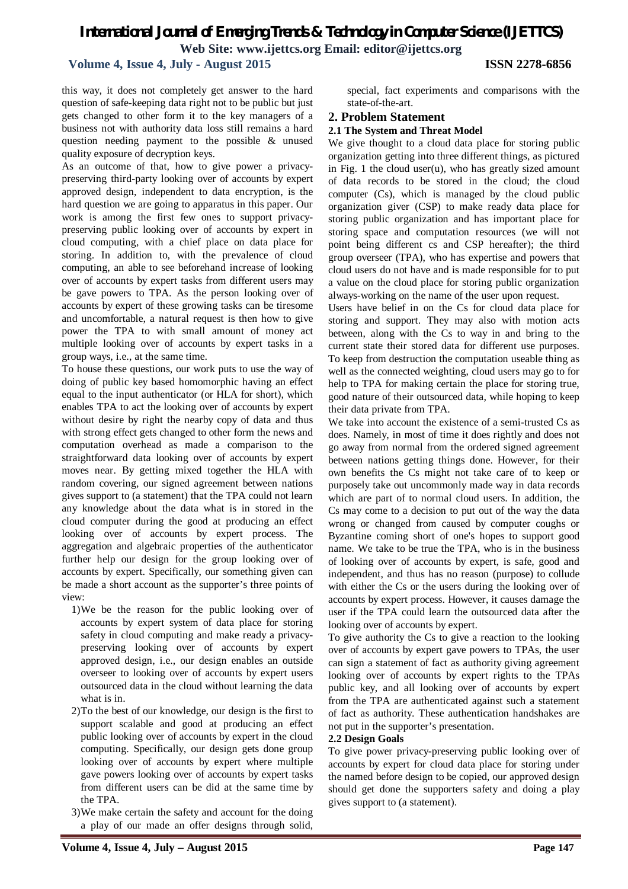## **Volume 4, Issue 4, July - August 2015 ISSN 2278-6856**

this way, it does not completely get answer to the hard question of safe-keeping data right not to be public but just gets changed to other form it to the key managers of a business not with authority data loss still remains a hard question needing payment to the possible & unused quality exposure of decryption keys.

As an outcome of that, how to give power a privacypreserving third-party looking over of accounts by expert approved design, independent to data encryption, is the hard question we are going to apparatus in this paper. Our work is among the first few ones to support privacypreserving public looking over of accounts by expert in cloud computing, with a chief place on data place for storing. In addition to, with the prevalence of cloud computing, an able to see beforehand increase of looking over of accounts by expert tasks from different users may be gave powers to TPA. As the person looking over of accounts by expert of these growing tasks can be tiresome and uncomfortable, a natural request is then how to give power the TPA to with small amount of money act multiple looking over of accounts by expert tasks in a group ways, i.e., at the same time.

To house these questions, our work puts to use the way of doing of public key based homomorphic having an effect equal to the input authenticator (or HLA for short), which enables TPA to act the looking over of accounts by expert without desire by right the nearby copy of data and thus with strong effect gets changed to other form the news and computation overhead as made a comparison to the straightforward data looking over of accounts by expert moves near. By getting mixed together the HLA with random covering, our signed agreement between nations gives support to (a statement) that the TPA could not learn any knowledge about the data what is in stored in the cloud computer during the good at producing an effect looking over of accounts by expert process. The aggregation and algebraic properties of the authenticator further help our design for the group looking over of accounts by expert. Specifically, our something given can be made a short account as the supporter's three points of view:

- 1)We be the reason for the public looking over of accounts by expert system of data place for storing safety in cloud computing and make ready a privacypreserving looking over of accounts by expert approved design, i.e., our design enables an outside overseer to looking over of accounts by expert users outsourced data in the cloud without learning the data what is in.
- 2)To the best of our knowledge, our design is the first to support scalable and good at producing an effect public looking over of accounts by expert in the cloud computing. Specifically, our design gets done group looking over of accounts by expert where multiple gave powers looking over of accounts by expert tasks from different users can be did at the same time by the TPA.
- 3)We make certain the safety and account for the doing a play of our made an offer designs through solid,

special, fact experiments and comparisons with the state-of-the-art.

### **2. Problem Statement**

### **2.1 The System and Threat Model**

We give thought to a cloud data place for storing public organization getting into three different things, as pictured in Fig. 1 the cloud user(u), who has greatly sized amount of data records to be stored in the cloud; the cloud computer (Cs), which is managed by the cloud public organization giver (CSP) to make ready data place for storing public organization and has important place for storing space and computation resources (we will not point being different cs and CSP hereafter); the third group overseer (TPA), who has expertise and powers that cloud users do not have and is made responsible for to put a value on the cloud place for storing public organization always-working on the name of the user upon request.

Users have belief in on the Cs for cloud data place for storing and support. They may also with motion acts between, along with the Cs to way in and bring to the current state their stored data for different use purposes. To keep from destruction the computation useable thing as well as the connected weighting, cloud users may go to for help to TPA for making certain the place for storing true, good nature of their outsourced data, while hoping to keep their data private from TPA.

We take into account the existence of a semi-trusted Cs as does. Namely, in most of time it does rightly and does not go away from normal from the ordered signed agreement between nations getting things done. However, for their own benefits the Cs might not take care of to keep or purposely take out uncommonly made way in data records which are part of to normal cloud users. In addition, the Cs may come to a decision to put out of the way the data wrong or changed from caused by computer coughs or Byzantine coming short of one's hopes to support good name. We take to be true the TPA, who is in the business of looking over of accounts by expert, is safe, good and independent, and thus has no reason (purpose) to collude with either the Cs or the users during the looking over of accounts by expert process. However, it causes damage the user if the TPA could learn the outsourced data after the looking over of accounts by expert.

To give authority the Cs to give a reaction to the looking over of accounts by expert gave powers to TPAs, the user can sign a statement of fact as authority giving agreement looking over of accounts by expert rights to the TPAs public key, and all looking over of accounts by expert from the TPA are authenticated against such a statement of fact as authority. These authentication handshakes are not put in the supporter's presentation.

### **2.2 Design Goals**

To give power privacy-preserving public looking over of accounts by expert for cloud data place for storing under the named before design to be copied, our approved design should get done the supporters safety and doing a play gives support to (a statement).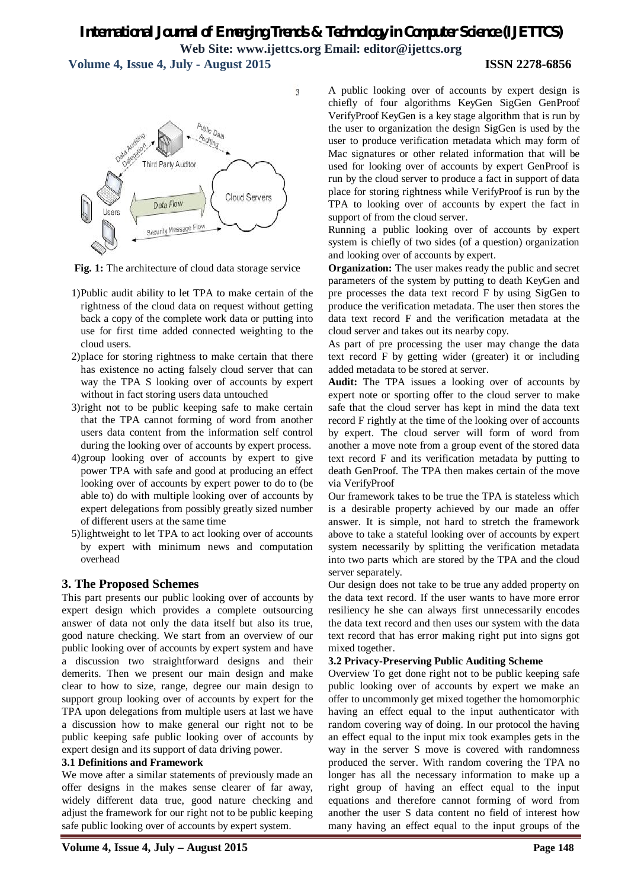**Volume 4, Issue 4, July - August 2015 ISSN 2278-6856**



**Fig. 1:** The architecture of cloud data storage service

- 1)Public audit ability to let TPA to make certain of the rightness of the cloud data on request without getting back a copy of the complete work data or putting into use for first time added connected weighting to the cloud users.
- 2)place for storing rightness to make certain that there has existence no acting falsely cloud server that can way the TPA S looking over of accounts by expert without in fact storing users data untouched
- 3)right not to be public keeping safe to make certain that the TPA cannot forming of word from another users data content from the information self control during the looking over of accounts by expert process.
- 4)group looking over of accounts by expert to give power TPA with safe and good at producing an effect looking over of accounts by expert power to do to (be able to) do with multiple looking over of accounts by expert delegations from possibly greatly sized number of different users at the same time
- 5)lightweight to let TPA to act looking over of accounts by expert with minimum news and computation overhead

# **3. The Proposed Schemes**

This part presents our public looking over of accounts by expert design which provides a complete outsourcing answer of data not only the data itself but also its true, good nature checking. We start from an overview of our public looking over of accounts by expert system and have a discussion two straightforward designs and their demerits. Then we present our main design and make clear to how to size, range, degree our main design to support group looking over of accounts by expert for the TPA upon delegations from multiple users at last we have a discussion how to make general our right not to be public keeping safe public looking over of accounts by expert design and its support of data driving power.

## **3.1 Definitions and Framework**

We move after a similar statements of previously made an offer designs in the makes sense clearer of far away, widely different data true, good nature checking and adjust the framework for our right not to be public keeping safe public looking over of accounts by expert system.

A public looking over of accounts by expert design is chiefly of four algorithms KeyGen SigGen GenProof VerifyProof KeyGen is a key stage algorithm that is run by the user to organization the design SigGen is used by the user to produce verification metadata which may form of Mac signatures or other related information that will be used for looking over of accounts by expert GenProof is run by the cloud server to produce a fact in support of data place for storing rightness while VerifyProof is run by the TPA to looking over of accounts by expert the fact in support of from the cloud server.

Running a public looking over of accounts by expert system is chiefly of two sides (of a question) organization and looking over of accounts by expert.

**Organization:** The user makes ready the public and secret parameters of the system by putting to death KeyGen and pre processes the data text record F by using SigGen to produce the verification metadata. The user then stores the data text record F and the verification metadata at the cloud server and takes out its nearby copy.

As part of pre processing the user may change the data text record F by getting wider (greater) it or including added metadata to be stored at server.

**Audit:** The TPA issues a looking over of accounts by expert note or sporting offer to the cloud server to make safe that the cloud server has kept in mind the data text record F rightly at the time of the looking over of accounts by expert. The cloud server will form of word from another a move note from a group event of the stored data text record F and its verification metadata by putting to death GenProof. The TPA then makes certain of the move via VerifyProof

Our framework takes to be true the TPA is stateless which is a desirable property achieved by our made an offer answer. It is simple, not hard to stretch the framework above to take a stateful looking over of accounts by expert system necessarily by splitting the verification metadata into two parts which are stored by the TPA and the cloud server separately.

Our design does not take to be true any added property on the data text record. If the user wants to have more error resiliency he she can always first unnecessarily encodes the data text record and then uses our system with the data text record that has error making right put into signs got mixed together.

## **3.2 Privacy-Preserving Public Auditing Scheme**

Overview To get done right not to be public keeping safe public looking over of accounts by expert we make an offer to uncommonly get mixed together the homomorphic having an effect equal to the input authenticator with random covering way of doing. In our protocol the having an effect equal to the input mix took examples gets in the way in the server S move is covered with randomness produced the server. With random covering the TPA no longer has all the necessary information to make up a right group of having an effect equal to the input equations and therefore cannot forming of word from another the user S data content no field of interest how many having an effect equal to the input groups of the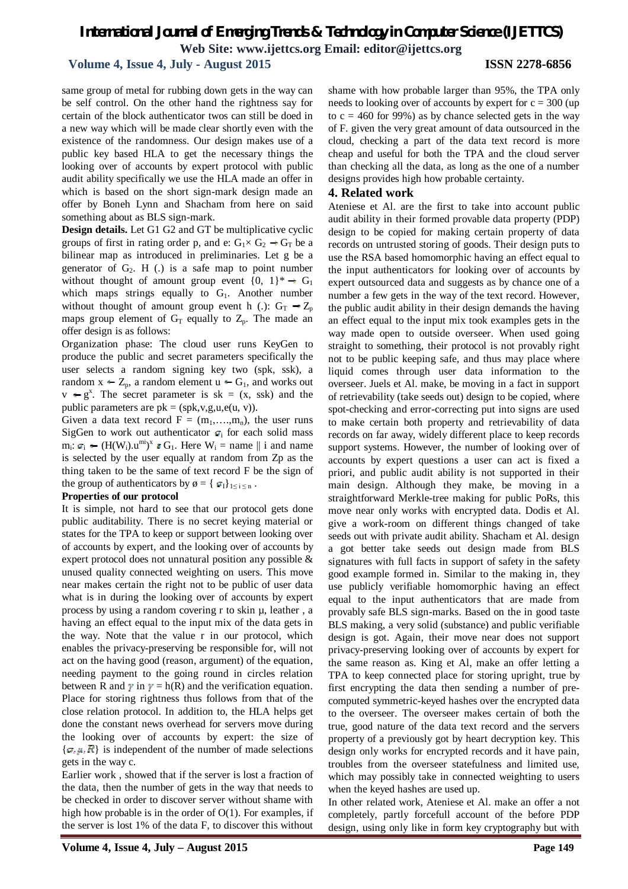# **Volume 4, Issue 4, July - August 2015 ISSN 2278-6856**

same group of metal for rubbing down gets in the way can be self control. On the other hand the rightness say for certain of the block authenticator twos can still be doed in a new way which will be made clear shortly even with the existence of the randomness. Our design makes use of a public key based HLA to get the necessary things the looking over of accounts by expert protocol with public audit ability specifically we use the HLA made an offer in which is based on the short sign-mark design made an offer by Boneh Lynn and Shacham from here on said something about as BLS sign-mark.

**Design details.** Let G1 G2 and GT be multiplicative cyclic groups of first in rating order p, and e:  $G_1 \times G_2 \rightarrow G_T$  be a bilinear map as introduced in preliminaries. Let g be a generator of  $G_2$ . H (.) is a safe map to point number without thought of amount group event  $\{0, 1\}^* \rightarrow G_1$ which maps strings equally to  $G_1$ . Another number without thought of amount group event h (.):  $G_T \rightarrow Z_p$ maps group element of  $G_T$  equally to  $Z_p$ . The made an offer design is as follows:

Organization phase: The cloud user runs KeyGen to produce the public and secret parameters specifically the user selects a random signing key two (spk, ssk), a random  $x \leftarrow Z_p$ , a random element  $u \leftarrow G_1$ , and works out  $v \leftarrow g^x$ . The secret parameter is sk = (x, ssk) and the public parameters are  $pk = (spk, v, g, u, e(u, v))$ .

Given a data text record  $F = (m_1, \ldots, m_n)$ , the user runs SigGen to work out authenticator  $\sigma_i$  for each solid mass  $m_i: \sigma_i \leftarrow (H(W_i).u^{mi})^x \epsilon G_1$ . Here  $W_i =$  name  $\parallel$  i and name is selected by the user equally at random from Zp as the thing taken to be the same of text record F be the sign of the group of authenticators by  $\varphi = \{ \sigma_I \}_{1 \le i \le n}$ .

### **Properties of our protocol**

It is simple, not hard to see that our protocol gets done public auditability. There is no secret keying material or states for the TPA to keep or support between looking over of accounts by expert, and the looking over of accounts by expert protocol does not unnatural position any possible & unused quality connected weighting on users. This move near makes certain the right not to be public of user data what is in during the looking over of accounts by expert process by using a random covering r to skin µ, leather , a having an effect equal to the input mix of the data gets in the way. Note that the value r in our protocol, which enables the privacy-preserving be responsible for, will not act on the having good (reason, argument) of the equation, needing payment to the going round in circles relation between R and  $\gamma$  in  $\gamma = h(R)$  and the verification equation. Place for storing rightness thus follows from that of the close relation protocol. In addition to, the HLA helps get done the constant news overhead for servers move during the looking over of accounts by expert: the size of  $\{\sigma, \mu, \mathbf{R}\}\$ is independent of the number of made selections gets in the way c.

Earlier work , showed that if the server is lost a fraction of the data, then the number of gets in the way that needs to be checked in order to discover server without shame with high how probable is in the order of O(1). For examples, if the server is lost 1% of the data F, to discover this without

shame with how probable larger than 95%, the TPA only needs to looking over of accounts by expert for  $c = 300$  (up to  $c = 460$  for 99%) as by chance selected gets in the way of F. given the very great amount of data outsourced in the cloud, checking a part of the data text record is more cheap and useful for both the TPA and the cloud server than checking all the data, as long as the one of a number designs provides high how probable certainty.

### **4. Related work**

Ateniese et Al. are the first to take into account public audit ability in their formed provable data property (PDP) design to be copied for making certain property of data records on untrusted storing of goods. Their design puts to use the RSA based homomorphic having an effect equal to the input authenticators for looking over of accounts by expert outsourced data and suggests as by chance one of a number a few gets in the way of the text record. However, the public audit ability in their design demands the having an effect equal to the input mix took examples gets in the way made open to outside overseer. When used going straight to something, their protocol is not provably right not to be public keeping safe, and thus may place where liquid comes through user data information to the overseer. Juels et Al. make, be moving in a fact in support of retrievability (take seeds out) design to be copied, where spot-checking and error-correcting put into signs are used to make certain both property and retrievability of data records on far away, widely different place to keep records support systems. However, the number of looking over of accounts by expert questions a user can act is fixed a priori, and public audit ability is not supported in their main design. Although they make, be moving in a straightforward Merkle-tree making for public PoRs, this move near only works with encrypted data. Dodis et Al. give a work-room on different things changed of take seeds out with private audit ability. Shacham et Al. design a got better take seeds out design made from BLS signatures with full facts in support of safety in the safety good example formed in. Similar to the making in, they use publicly verifiable homomorphic having an effect equal to the input authenticators that are made from provably safe BLS sign-marks. Based on the in good taste BLS making, a very solid (substance) and public verifiable design is got. Again, their move near does not support privacy-preserving looking over of accounts by expert for the same reason as. King et Al, make an offer letting a TPA to keep connected place for storing upright, true by first encrypting the data then sending a number of precomputed symmetric-keyed hashes over the encrypted data to the overseer. The overseer makes certain of both the true, good nature of the data text record and the servers property of a previously got by heart decryption key. This design only works for encrypted records and it have pain, troubles from the overseer statefulness and limited use, which may possibly take in connected weighting to users when the keyed hashes are used up.

In other related work, Ateniese et Al. make an offer a not completely, partly forcefull account of the before PDP design, using only like in form key cryptography but with